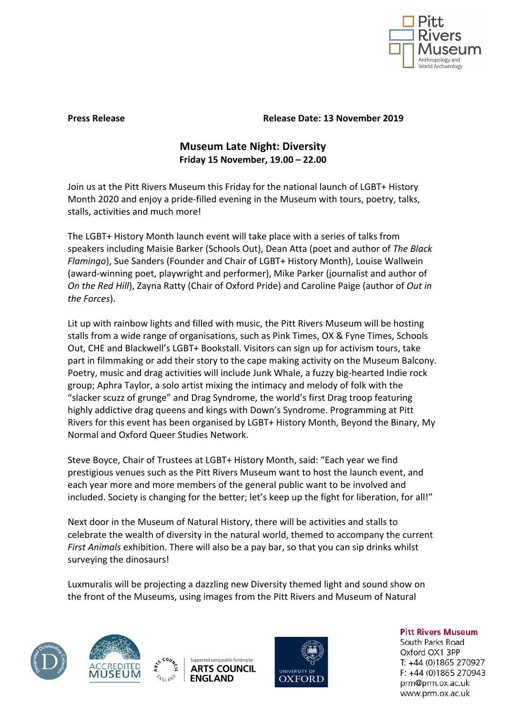

**Press Release Release Date: 13 November 2019**

## **Museum Late Night: Diversity Friday 15 November, 19.00 – 22.00**

Join us at the Pitt Rivers Museum this Friday for the national launch of LGBT+ History Month 2020 and enjoy a pride-filled evening in the Museum with tours, poetry, talks, stalls, activities and much more!

The LGBT+ History Month launch event will take place with a series of talks from speakers including Maisie Barker (Schools Out), Dean Atta (poet and author of *The Black Flamingo*), Sue Sanders (Founder and Chair of LGBT+ History Month), Louise Wallwein (award-winning poet, playwright and performer), Mike Parker (journalist and author of *On the Red Hill*), Zayna Ratty (Chair of Oxford Pride) and Caroline Paige (author of *Out in the Forces*).

Lit up with rainbow lights and filled with music, the Pitt Rivers Museum will be hosting stalls from a wide range of organisations, such as Pink Times, OX & Fyne Times, Schools Out, CHE and Blackwell's LGBT+ Bookstall. Visitors can sign up for activism tours, take part in filmmaking or add their story to the cape making activity on the Museum Balcony. Poetry, music and drag activities will include Junk Whale, a fuzzy big-hearted Indie rock group; Aphra Taylor, a solo artist mixing the intimacy and melody of folk with the "slacker scuzz of grunge" and Drag Syndrome, the world's first Drag troop featuring highly addictive drag queens and kings with Down's Syndrome. Programming at Pitt Rivers for this event has been organised by LGBT+ History Month, Beyond the Binary, My Normal and Oxford Queer Studies Network.

Steve Boyce, Chair of Trustees at LGBT+ History Month, said: "Each year we find prestigious venues such as the Pitt Rivers Museum want to host the launch event, and each year more and more members of the general public want to be involved and included. Society is changing for the better; let's keep up the fight for liberation, for all!"

Next door in the Museum of Natural History, there will be activities and stalls to celebrate the wealth of diversity in the natural world, themed to accompany the current *First Animals* exhibition. There will also be a pay bar, so that you can sip drinks whilst surveying the dinosaurs!

Luxmuralis will be projecting a dazzling new Diversity themed light and sound show on the front of the Museums, using images from the Pitt Rivers and Museum of Natural









**Pitt Rivers Museum** 

South Parks Road Oxford OX1 3PP T: +44 (0)1865 270927 F: +44 (0)1865 270943 prm@prm.ox.ac.uk www.prm.ox.ac.uk